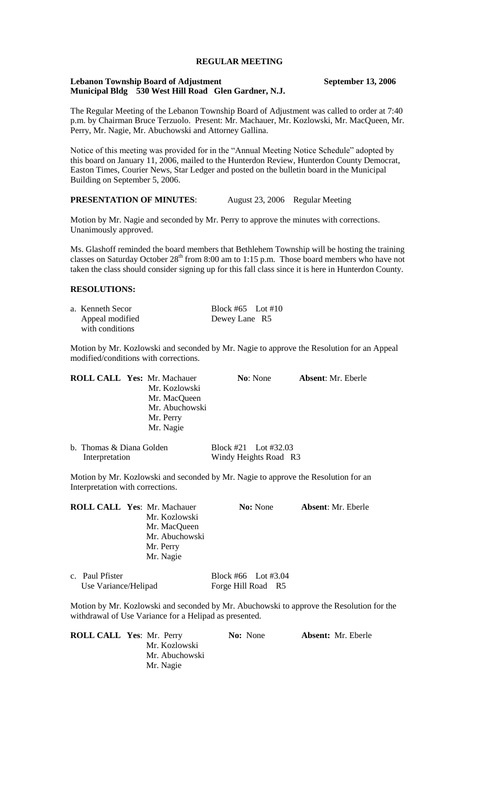# **REGULAR MEETING**

#### **Lebanon Township Board of Adjustment September 13, 2006 Municipal Bldg 530 West Hill Road Glen Gardner, N.J.**

The Regular Meeting of the Lebanon Township Board of Adjustment was called to order at 7:40 p.m. by Chairman Bruce Terzuolo. Present: Mr. Machauer, Mr. Kozlowski, Mr. MacQueen, Mr. Perry, Mr. Nagie, Mr. Abuchowski and Attorney Gallina.

Notice of this meeting was provided for in the "Annual Meeting Notice Schedule" adopted by this board on January 11, 2006, mailed to the Hunterdon Review, Hunterdon County Democrat, Easton Times, Courier News, Star Ledger and posted on the bulletin board in the Municipal Building on September 5, 2006.

### **PRESENTATION OF MINUTES**: August 23, 2006 Regular Meeting

Motion by Mr. Nagie and seconded by Mr. Perry to approve the minutes with corrections. Unanimously approved.

Ms. Glashoff reminded the board members that Bethlehem Township will be hosting the training classes on Saturday October 28<sup>th</sup> from 8:00 am to 1:15 p.m. Those board members who have not taken the class should consider signing up for this fall class since it is here in Hunterdon County.

### **RESOLUTIONS:**

| a. Kenneth Secor | Block #65 Lot #10 |
|------------------|-------------------|
| Appeal modified  | Dewey Lane R5     |
| with conditions  |                   |

Motion by Mr. Kozlowski and seconded by Mr. Nagie to approve the Resolution for an Appeal modified/conditions with corrections.

| <b>ROLL CALL Yes: Mr. Machauer</b> | <b>No:</b> None | <b>Absent:</b> Mr. Eberle |
|------------------------------------|-----------------|---------------------------|
| Mr. Kozlowski                      |                 |                           |
| Mr. MacQueen                       |                 |                           |
| Mr. Abuchowski                     |                 |                           |
| Mr. Perry                          |                 |                           |
| Mr. Nagie                          |                 |                           |
|                                    |                 |                           |

| b. Thomas & Diana Golden | Block #21 Lot #32.03  |
|--------------------------|-----------------------|
| Interpretation           | Windy Heights Road R3 |

Motion by Mr. Kozlowski and seconded by Mr. Nagie to approve the Resolution for an Interpretation with corrections.

|                 | <b>ROLL CALL Yes: Mr. Machauer</b><br>Mr. Kozlowski<br>Mr. MacQueen<br>Mr. Abuchowski<br>Mr. Perry<br>Mr. Nagie |                     | <b>No:</b> None | <b>Absent:</b> Mr. Eberle |
|-----------------|-----------------------------------------------------------------------------------------------------------------|---------------------|-----------------|---------------------------|
| c. Paul Pfister |                                                                                                                 | Block #66 Lot #3.04 |                 |                           |

Motion by Mr. Kozlowski and seconded by Mr. Abuchowski to approve the Resolution for the withdrawal of Use Variance for a Helipad as presented.

| <b>ROLL CALL Yes: Mr. Perry</b> | <b>No:</b> None | <b>Absent:</b> Mr. Eberle |
|---------------------------------|-----------------|---------------------------|
| Mr. Kozlowski                   |                 |                           |
| Mr. Abuchowski                  |                 |                           |
| Mr. Nagie                       |                 |                           |

Use Variance/Helipad Forge Hill Road R5